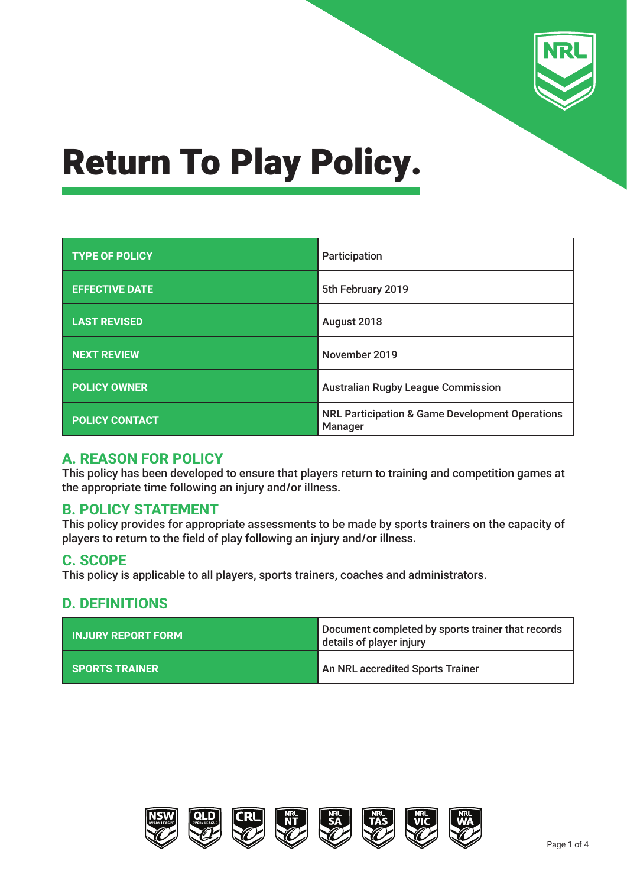

| <b>TYPE OF POLICY</b> | Participation                                                         |  |
|-----------------------|-----------------------------------------------------------------------|--|
| <b>EFFECTIVE DATE</b> | 5th February 2019                                                     |  |
| <b>LAST REVISED</b>   | August 2018                                                           |  |
| <b>NEXT REVIEW</b>    | November 2019                                                         |  |
| <b>POLICY OWNER</b>   | <b>Australian Rugby League Commission</b>                             |  |
| <b>POLICY CONTACT</b> | <b>NRL Participation &amp; Game Development Operations</b><br>Manager |  |

### **A. REASON FOR POLICY**

This policy has been developed to ensure that players return to training and competition games at the appropriate time following an injury and/or illness.

### **B. POLICY STATEMENT**

This policy provides for appropriate assessments to be made by sports trainers on the capacity of players to return to the field of play following an injury and/or illness.

### **C. SCOPE**

This policy is applicable to all players, sports trainers, coaches and administrators.

### **D. DEFINITIONS**

| <b>INJURY REPORT FORM</b> | Document completed by sports trainer that records<br>details of player injury |  |
|---------------------------|-------------------------------------------------------------------------------|--|
| <b>SPORTS TRAINER</b>     | An NRL accredited Sports Trainer                                              |  |

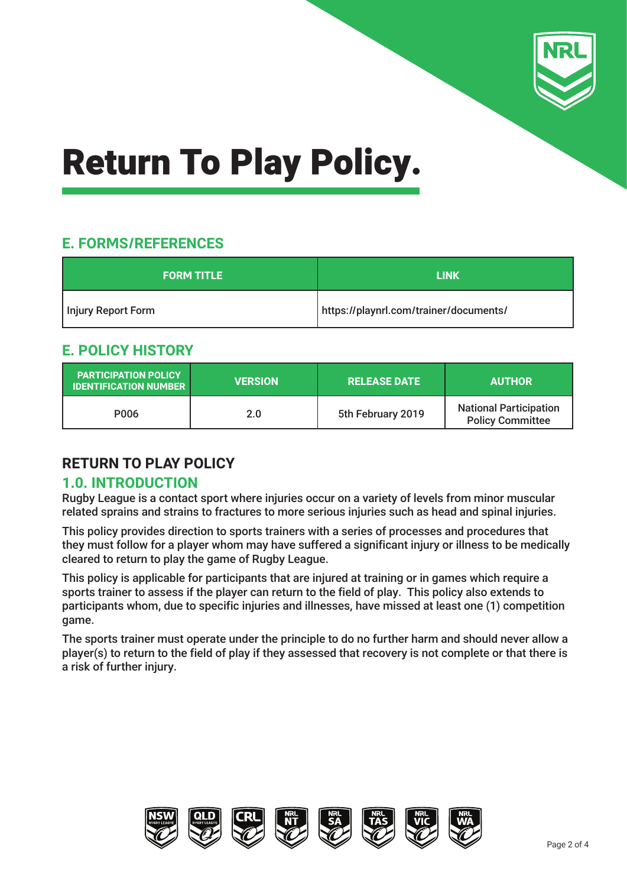

# **E. FORMS/REFERENCES**

| <b>FORM TITLE</b>  | LINK                                   |  |
|--------------------|----------------------------------------|--|
| Injury Report Form | https://playnrl.com/trainer/documents/ |  |

# **E. POLICY HISTORY**

| <b>PARTICIPATION POLICY</b><br><b>IDENTIFICATION NUMBER</b> | <b>VERSION</b> | <b>RELEASE DATE</b> | <b>AUTHOR</b>                                            |
|-------------------------------------------------------------|----------------|---------------------|----------------------------------------------------------|
| P006                                                        | 2.0            | 5th February 2019   | <b>National Participation</b><br><b>Policy Committee</b> |

# **RETURN TO PLAY POLICY**

# **1.0. INTRODUCTION**

Rugby League is a contact sport where injuries occur on a variety of levels from minor muscular related sprains and strains to fractures to more serious injuries such as head and spinal injuries.

This policy provides direction to sports trainers with a series of processes and procedures that they must follow for a player whom may have suffered a significant injury or illness to be medically cleared to return to play the game of Rugby League.

This policy is applicable for participants that are injured at training or in games which require a sports trainer to assess if the player can return to the field of play. This policy also extends to participants whom, due to specific injuries and illnesses, have missed at least one (1) competition game.

The sports trainer must operate under the principle to do no further harm and should never allow a player(s) to return to the field of play if they assessed that recovery is not complete or that there is a risk of further injury.

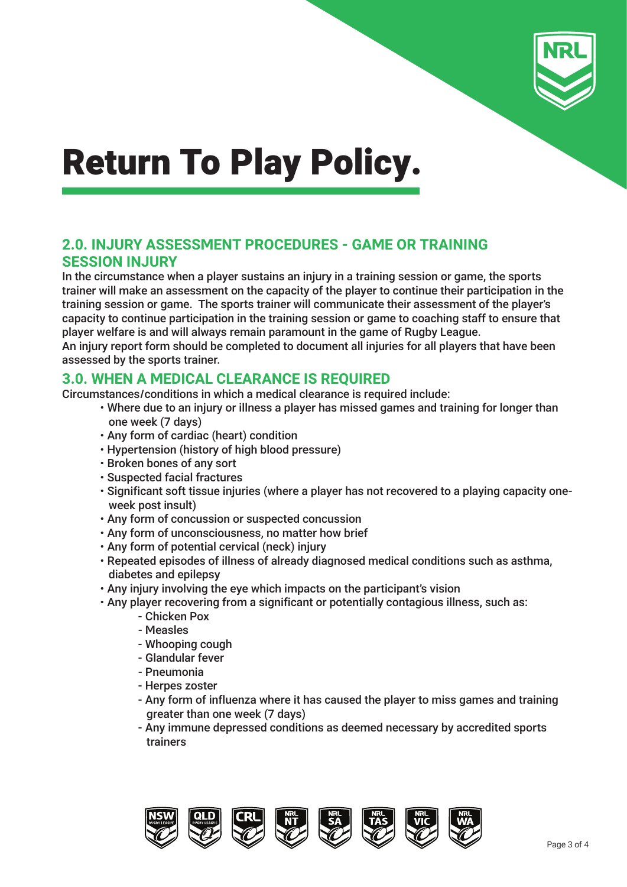

## **2.0. INJURY ASSESSMENT PROCEDURES - GAME OR TRAINING SESSION INJURY**

In the circumstance when a player sustains an injury in a training session or game, the sports trainer will make an assessment on the capacity of the player to continue their participation in the training session or game. The sports trainer will communicate their assessment of the player's capacity to continue participation in the training session or game to coaching staff to ensure that player welfare is and will always remain paramount in the game of Rugby League. An injury report form should be completed to document all injuries for all players that have been assessed by the sports trainer.

## **3.0. WHEN A MEDICAL CLEARANCE IS REQUIRED**

Circumstances/conditions in which a medical clearance is required include:

- Where due to an injury or illness a player has missed games and training for longer than one week (7 days)
- Any form of cardiac (heart) condition
- Hypertension (history of high blood pressure)
- Broken bones of any sort
- Suspected facial fractures
- Significant soft tissue injuries (where a player has not recovered to a playing capacity one week post insult)
- Any form of concussion or suspected concussion
- Any form of unconsciousness, no matter how brief
- Any form of potential cervical (neck) injury
- Repeated episodes of illness of already diagnosed medical conditions such as asthma, diabetes and epilepsy
- Any injury involving the eye which impacts on the participant's vision
- Any player recovering from a significant or potentially contagious illness, such as:
	- Chicken Pox
	- Measles
	- Whooping cough
	- Glandular fever
	- Pneumonia
	- Herpes zoster
	- Any form of influenza where it has caused the player to miss games and training greater than one week (7 days)
	- Any immune depressed conditions as deemed necessary by accredited sports trainers